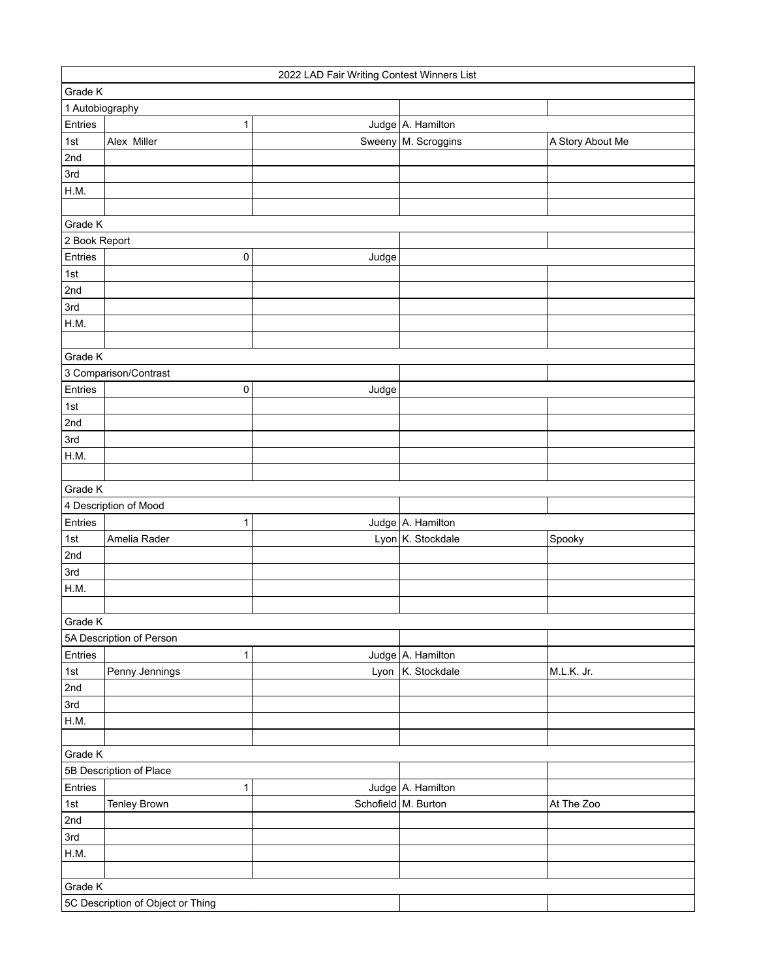|                       | 2022 LAD Fair Writing Contest Winners List |       |                       |                  |  |
|-----------------------|--------------------------------------------|-------|-----------------------|------------------|--|
| Grade K               |                                            |       |                       |                  |  |
| 1 Autobiography       |                                            |       |                       |                  |  |
| Entries               | 1                                          |       | Judge A. Hamilton     |                  |  |
| 1st                   | Alex Miller                                |       | Sweeny   M. Scroggins | A Story About Me |  |
| 2nd                   |                                            |       |                       |                  |  |
| 3rd                   |                                            |       |                       |                  |  |
| H.M.                  |                                            |       |                       |                  |  |
|                       |                                            |       |                       |                  |  |
| Grade K               |                                            |       |                       |                  |  |
| 2 Book Report         |                                            |       |                       |                  |  |
| Entries               | 0                                          | Judge |                       |                  |  |
| 1st                   |                                            |       |                       |                  |  |
| 2nd                   |                                            |       |                       |                  |  |
| 3rd                   |                                            |       |                       |                  |  |
| H.M.                  |                                            |       |                       |                  |  |
|                       |                                            |       |                       |                  |  |
| Grade K               |                                            |       |                       |                  |  |
| 3 Comparison/Contrast |                                            |       |                       |                  |  |
| Entries               | 0                                          | Judge |                       |                  |  |
| 1st                   |                                            |       |                       |                  |  |
| 2nd                   |                                            |       |                       |                  |  |
| 3rd                   |                                            |       |                       |                  |  |
| H.M.                  |                                            |       |                       |                  |  |
|                       |                                            |       |                       |                  |  |
| Grade K               |                                            |       |                       |                  |  |
|                       | 4 Description of Mood                      |       |                       |                  |  |
| Entries               | 1                                          |       | Judge A. Hamilton     |                  |  |
| 1st                   | Amelia Rader                               |       | Lyon K. Stockdale     | Spooky           |  |
| 2nd                   |                                            |       |                       |                  |  |
| 3rd                   |                                            |       |                       |                  |  |
| H.M.                  |                                            |       |                       |                  |  |
|                       |                                            |       |                       |                  |  |
| Grade K               |                                            |       |                       |                  |  |
|                       | 5A Description of Person                   |       |                       |                  |  |
| Entries               | 1                                          |       | Judge A. Hamilton     |                  |  |
| 1st                   | Penny Jennings                             | Lyon  | K. Stockdale          | M.L.K. Jr.       |  |
| 2nd                   |                                            |       |                       |                  |  |
| 3rd                   |                                            |       |                       |                  |  |
| H.M.                  |                                            |       |                       |                  |  |
|                       |                                            |       |                       |                  |  |
| Grade K               |                                            |       |                       |                  |  |
|                       | 5B Description of Place                    |       |                       |                  |  |
| Entries               |                                            |       | Judge A. Hamilton     |                  |  |
| 1st                   | 1<br><b>Tenley Brown</b>                   |       | Schofield   M. Burton | At The Zoo       |  |
| 2nd                   |                                            |       |                       |                  |  |
|                       |                                            |       |                       |                  |  |
| 3rd                   |                                            |       |                       |                  |  |
| H.M.                  |                                            |       |                       |                  |  |
|                       |                                            |       |                       |                  |  |
| Grade K               |                                            |       |                       |                  |  |
|                       | 5C Description of Object or Thing          |       |                       |                  |  |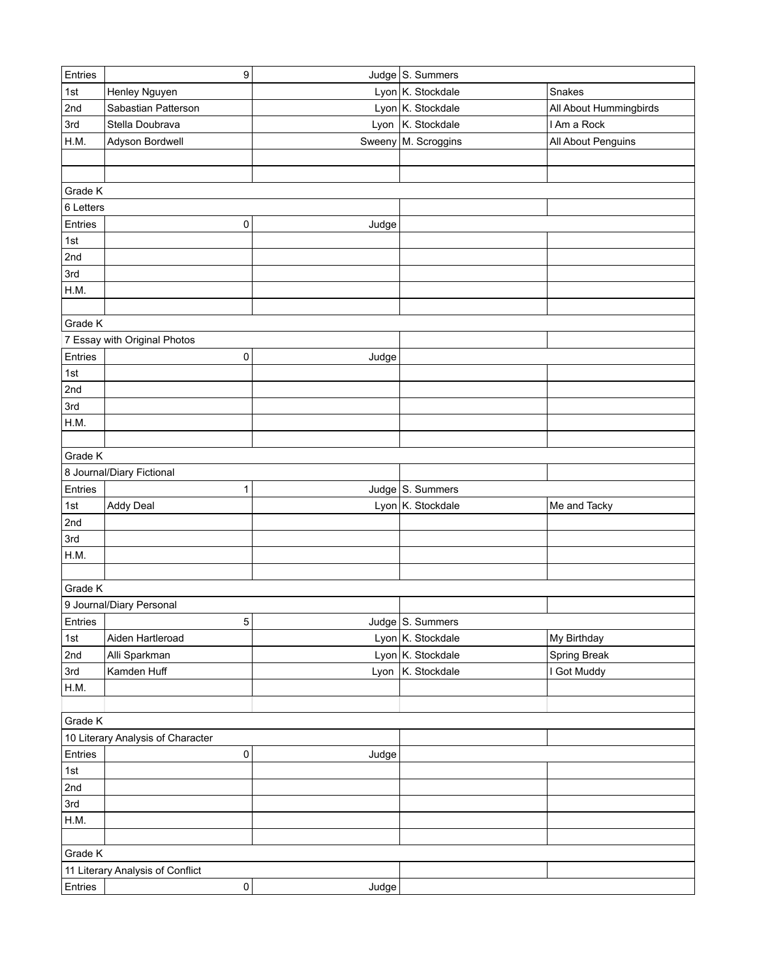| Entries   | 9                                     |        | Judge S. Summers    |                        |
|-----------|---------------------------------------|--------|---------------------|------------------------|
| 1st       | Henley Nguyen                         |        | Lyon K. Stockdale   | Snakes                 |
| 2nd       | Sabastian Patterson                   |        | Lyon K. Stockdale   | All About Hummingbirds |
| 3rd       | Stella Doubrava                       |        | Lyon   K. Stockdale | I Am a Rock            |
| H.M.      | Adyson Bordwell                       | Sweeny | M. Scroggins        | All About Penguins     |
|           |                                       |        |                     |                        |
|           |                                       |        |                     |                        |
| Grade K   |                                       |        |                     |                        |
| 6 Letters |                                       |        |                     |                        |
| Entries   | 0                                     | Judge  |                     |                        |
| 1st       |                                       |        |                     |                        |
| 2nd       |                                       |        |                     |                        |
| 3rd       |                                       |        |                     |                        |
| H.M.      |                                       |        |                     |                        |
|           |                                       |        |                     |                        |
| Grade K   |                                       |        |                     |                        |
|           | 7 Essay with Original Photos          |        |                     |                        |
| Entries   | 0                                     | Judge  |                     |                        |
| 1st       |                                       |        |                     |                        |
| 2nd       |                                       |        |                     |                        |
| 3rd       |                                       |        |                     |                        |
| H.M.      |                                       |        |                     |                        |
|           |                                       |        |                     |                        |
| Grade K   |                                       |        |                     |                        |
|           | 8 Journal/Diary Fictional             |        |                     |                        |
|           |                                       |        |                     |                        |
| Entries   | 1                                     |        | Judge S. Summers    |                        |
| 1st       | <b>Addy Deal</b>                      |        | Lyon K. Stockdale   | Me and Tacky           |
| 2nd       |                                       |        |                     |                        |
| 3rd       |                                       |        |                     |                        |
| H.M.      |                                       |        |                     |                        |
|           |                                       |        |                     |                        |
| Grade K   |                                       |        |                     |                        |
|           | 9 Journal/Diary Personal              |        |                     |                        |
| Entries   | $5\vert$                              |        | Judge $ S.$ Summers |                        |
| 1st       | Aiden Hartleroad                      |        | Lyon K. Stockdale   | My Birthday            |
| 2nd       | Alli Sparkman                         |        | Lyon K. Stockdale   | Spring Break           |
| 3rd       | Kamden Huff                           |        | Lyon   K. Stockdale | I Got Muddy            |
| H.M.      |                                       |        |                     |                        |
|           |                                       |        |                     |                        |
| Grade K   |                                       |        |                     |                        |
|           | 10 Literary Analysis of Character     |        |                     |                        |
| Entries   | 0                                     | Judge  |                     |                        |
| 1st       |                                       |        |                     |                        |
| 2nd       |                                       |        |                     |                        |
| 3rd       |                                       |        |                     |                        |
| H.M.      |                                       |        |                     |                        |
|           |                                       |        |                     |                        |
| Grade K   |                                       |        |                     |                        |
| Entries   | 11 Literary Analysis of Conflict<br>0 | Judge  |                     |                        |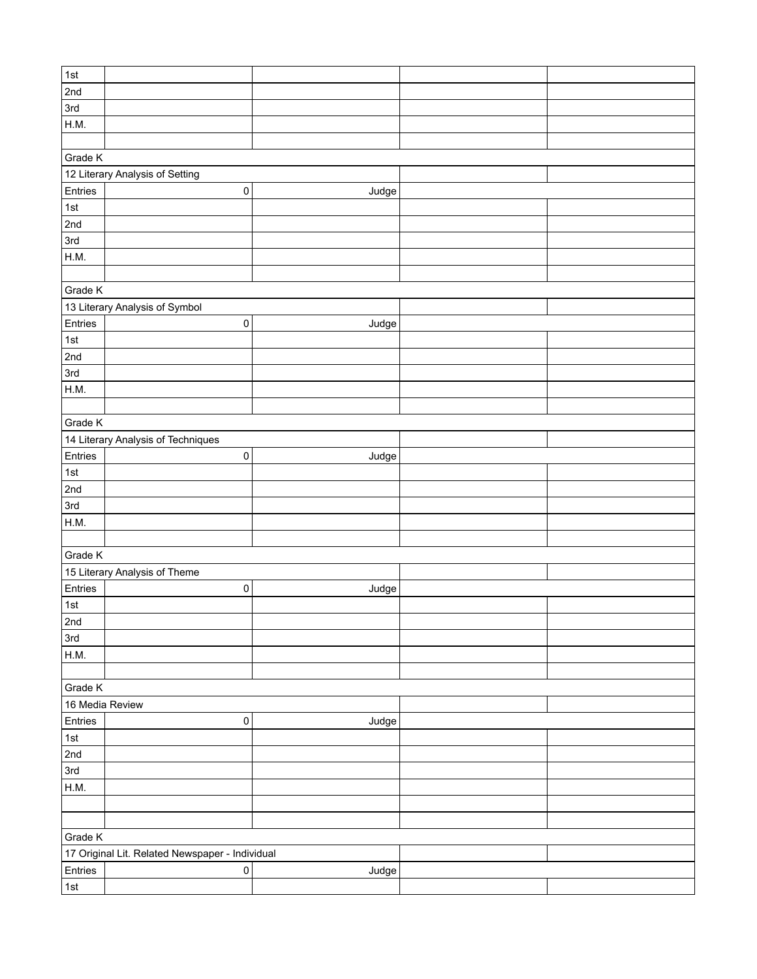| 1st             |                                                 |       |  |
|-----------------|-------------------------------------------------|-------|--|
| 2nd             |                                                 |       |  |
| 3rd             |                                                 |       |  |
| H.M.            |                                                 |       |  |
|                 |                                                 |       |  |
| Grade K         |                                                 |       |  |
|                 |                                                 |       |  |
|                 | 12 Literary Analysis of Setting                 |       |  |
| Entries         | $\pmb{0}$                                       | Judge |  |
| $\vert$ 1st     |                                                 |       |  |
| 2nd             |                                                 |       |  |
| 3rd             |                                                 |       |  |
| H.M.            |                                                 |       |  |
|                 |                                                 |       |  |
| Grade K         |                                                 |       |  |
|                 | 13 Literary Analysis of Symbol                  |       |  |
| Entries         | 0                                               | Judge |  |
| 1st             |                                                 |       |  |
| 2nd             |                                                 |       |  |
| 3rd             |                                                 |       |  |
| H.M.            |                                                 |       |  |
|                 |                                                 |       |  |
| Grade K         |                                                 |       |  |
|                 | 14 Literary Analysis of Techniques              |       |  |
| Entries         | 0                                               | Judge |  |
| 1st             |                                                 |       |  |
| 2nd             |                                                 |       |  |
| 3rd             |                                                 |       |  |
| H.M.            |                                                 |       |  |
|                 |                                                 |       |  |
| Grade K         |                                                 |       |  |
|                 | 15 Literary Analysis of Theme                   |       |  |
| Entries         | $\pmb{0}$                                       | Judge |  |
| 1st             |                                                 |       |  |
| 2nd             |                                                 |       |  |
| 3rd             |                                                 |       |  |
| H.M.            |                                                 |       |  |
|                 |                                                 |       |  |
| Grade K         |                                                 |       |  |
| 16 Media Review |                                                 |       |  |
| Entries         | $\pmb{0}$                                       | Judge |  |
| 1st             |                                                 |       |  |
| 2nd             |                                                 |       |  |
| 3rd             |                                                 |       |  |
| H.M.            |                                                 |       |  |
|                 |                                                 |       |  |
|                 |                                                 |       |  |
| Grade K         |                                                 |       |  |
|                 | 17 Original Lit. Related Newspaper - Individual |       |  |
| Entries         | $\pmb{0}$                                       |       |  |
|                 |                                                 | Judge |  |
| $\vert$ 1st     |                                                 |       |  |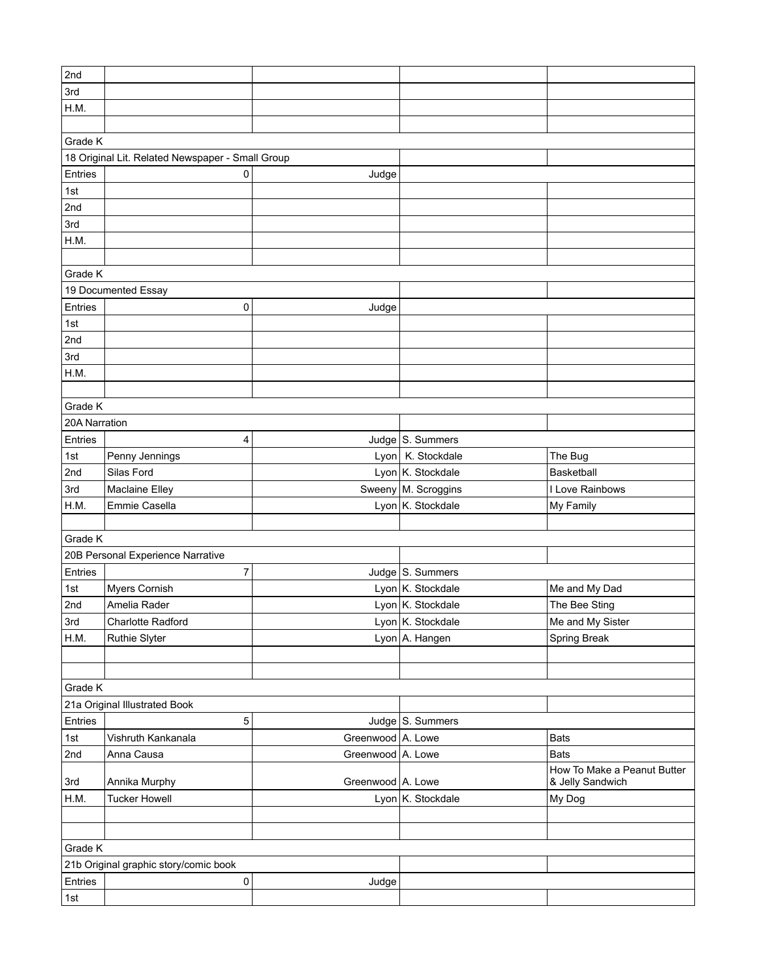| 2nd           |                                                  |                   |                       |                             |  |
|---------------|--------------------------------------------------|-------------------|-----------------------|-----------------------------|--|
| 3rd           |                                                  |                   |                       |                             |  |
| H.M.          |                                                  |                   |                       |                             |  |
|               |                                                  |                   |                       |                             |  |
| Grade K       |                                                  |                   |                       |                             |  |
|               | 18 Original Lit. Related Newspaper - Small Group |                   |                       |                             |  |
| Entries       | $\mathbf{0}$                                     | Judge             |                       |                             |  |
| 1st           |                                                  |                   |                       |                             |  |
| 2nd           |                                                  |                   |                       |                             |  |
| 3rd           |                                                  |                   |                       |                             |  |
| H.M.          |                                                  |                   |                       |                             |  |
|               |                                                  |                   |                       |                             |  |
| Grade K       |                                                  |                   |                       |                             |  |
|               | 19 Documented Essay                              |                   |                       |                             |  |
| Entries       | 0                                                | Judge             |                       |                             |  |
| 1st           |                                                  |                   |                       |                             |  |
| 2nd           |                                                  |                   |                       |                             |  |
| 3rd           |                                                  |                   |                       |                             |  |
| H.M.          |                                                  |                   |                       |                             |  |
|               |                                                  |                   |                       |                             |  |
| Grade K       |                                                  |                   |                       |                             |  |
| 20A Narration |                                                  |                   |                       |                             |  |
| Entries       | 4                                                |                   | Judge S. Summers      |                             |  |
| 1st           | Penny Jennings                                   |                   | Lyon K. Stockdale     | The Bug                     |  |
| 2nd           | Silas Ford                                       |                   | Lyon K. Stockdale     | Basketball                  |  |
| 3rd           | Maclaine Elley                                   |                   | Sweeny   M. Scroggins | I Love Rainbows             |  |
| H.M.          | Emmie Casella                                    |                   | Lyon K. Stockdale     | My Family                   |  |
|               |                                                  |                   |                       |                             |  |
| Grade K       |                                                  |                   |                       |                             |  |
|               | 20B Personal Experience Narrative                |                   |                       |                             |  |
| Entries       | 7                                                |                   | Judge S. Summers      |                             |  |
| 1st           | Myers Cornish                                    |                   | Lyon K. Stockdale     | Me and My Dad               |  |
| 2nd           | Amelia Rader                                     |                   | Lyon K. Stockdale     | The Bee Sting               |  |
|               | Charlotte Radford                                |                   | Lyon K. Stockdale     | Me and My Sister            |  |
| 3rd<br>H.M.   | <b>Ruthie Slyter</b>                             |                   | Lyon A. Hangen        | Spring Break                |  |
|               |                                                  |                   |                       |                             |  |
|               |                                                  |                   |                       |                             |  |
| Grade K       |                                                  |                   |                       |                             |  |
|               | 21a Original Illustrated Book                    |                   |                       |                             |  |
| Entries       | 5                                                |                   | Judge S. Summers      |                             |  |
| 1st           | Vishruth Kankanala                               | Greenwood A. Lowe |                       | <b>Bats</b>                 |  |
| 2nd           | Anna Causa                                       | Greenwood A. Lowe |                       | <b>Bats</b>                 |  |
|               |                                                  |                   |                       | How To Make a Peanut Butter |  |
| 3rd           | Annika Murphy                                    | Greenwood A. Lowe |                       | & Jelly Sandwich            |  |
| H.M.          | <b>Tucker Howell</b>                             |                   | Lyon K. Stockdale     | My Dog                      |  |
|               |                                                  |                   |                       |                             |  |
|               |                                                  |                   |                       |                             |  |
| Grade K       |                                                  |                   |                       |                             |  |
|               | 21b Original graphic story/comic book            |                   |                       |                             |  |
| Entries       | $\pmb{0}$                                        | Judge             |                       |                             |  |
| 1st           |                                                  |                   |                       |                             |  |
|               |                                                  |                   |                       |                             |  |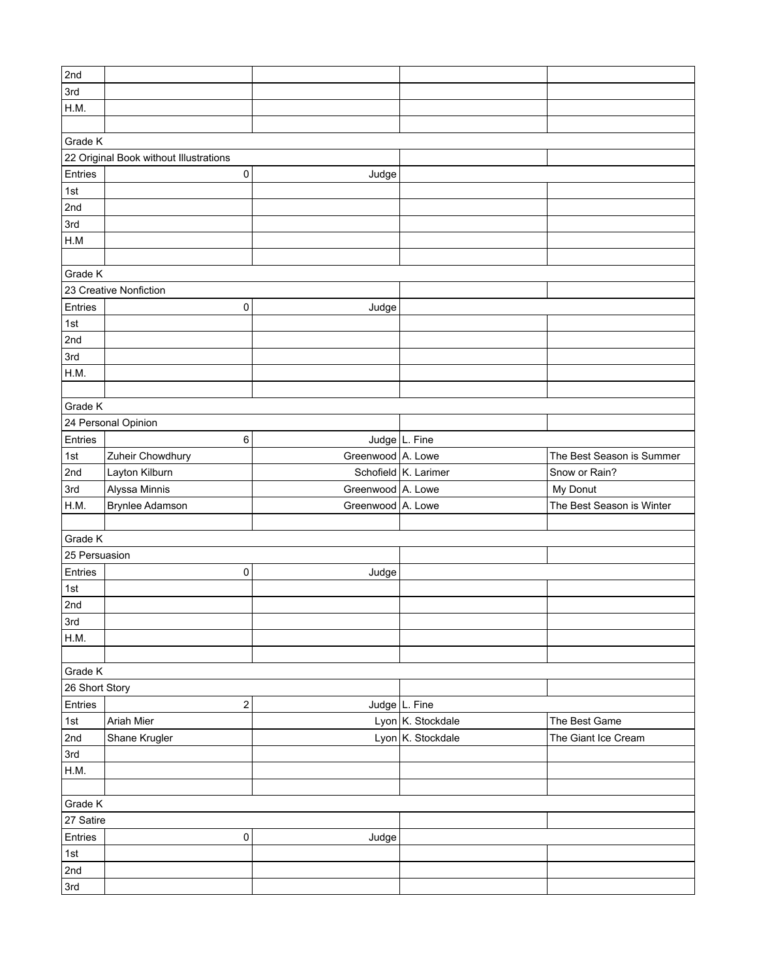| 2nd                    |                                        |                   |                      |                           |
|------------------------|----------------------------------------|-------------------|----------------------|---------------------------|
| 3rd                    |                                        |                   |                      |                           |
| H.M.                   |                                        |                   |                      |                           |
|                        |                                        |                   |                      |                           |
|                        |                                        |                   |                      |                           |
| Grade K                |                                        |                   |                      |                           |
|                        | 22 Original Book without Illustrations |                   |                      |                           |
| Entries                | 0                                      | Judge             |                      |                           |
| 1st                    |                                        |                   |                      |                           |
| 2nd                    |                                        |                   |                      |                           |
| 3rd                    |                                        |                   |                      |                           |
| H.M                    |                                        |                   |                      |                           |
|                        |                                        |                   |                      |                           |
| Grade K                |                                        |                   |                      |                           |
| 23 Creative Nonfiction |                                        |                   |                      |                           |
| Entries                | 0                                      | Judge             |                      |                           |
| 1st                    |                                        |                   |                      |                           |
| 2nd                    |                                        |                   |                      |                           |
| 3rd                    |                                        |                   |                      |                           |
| H.M.                   |                                        |                   |                      |                           |
|                        |                                        |                   |                      |                           |
| Grade K                |                                        |                   |                      |                           |
|                        | 24 Personal Opinion                    |                   |                      |                           |
| Entries                |                                        |                   | Judge L. Fine        |                           |
|                        | 6                                      |                   |                      |                           |
| 1st                    | Zuheir Chowdhury                       | Greenwood A. Lowe |                      | The Best Season is Summer |
| 2nd                    | Layton Kilburn                         |                   | Schofield K. Larimer | Snow or Rain?             |
| 3rd                    | Alyssa Minnis                          | Greenwood A. Lowe |                      | My Donut                  |
| H.M.                   | <b>Brynlee Adamson</b>                 | Greenwood A. Lowe |                      | The Best Season is Winter |
|                        |                                        |                   |                      |                           |
| Grade K                |                                        |                   |                      |                           |
| 25 Persuasion          |                                        |                   |                      |                           |
| Entries                | 0                                      | Judge             |                      |                           |
| 1st                    |                                        |                   |                      |                           |
| 2nd                    |                                        |                   |                      |                           |
| 3rd                    |                                        |                   |                      |                           |
| H.M.                   |                                        |                   |                      |                           |
|                        |                                        |                   |                      |                           |
| Grade K                |                                        |                   |                      |                           |
| 26 Short Story         |                                        |                   |                      |                           |
| Entries                | 2                                      |                   | Judge L. Fine        |                           |
| 1st                    | Ariah Mier                             |                   | Lyon K. Stockdale    | The Best Game             |
| 2nd                    | Shane Krugler                          |                   | Lyon K. Stockdale    | The Giant Ice Cream       |
| 3rd                    |                                        |                   |                      |                           |
| H.M.                   |                                        |                   |                      |                           |
|                        |                                        |                   |                      |                           |
| Grade K                |                                        |                   |                      |                           |
| 27 Satire              |                                        |                   |                      |                           |
|                        |                                        |                   |                      |                           |
| Entries                | 0                                      | Judge             |                      |                           |
| 1st                    |                                        |                   |                      |                           |
| 2nd                    |                                        |                   |                      |                           |
| 3rd                    |                                        |                   |                      |                           |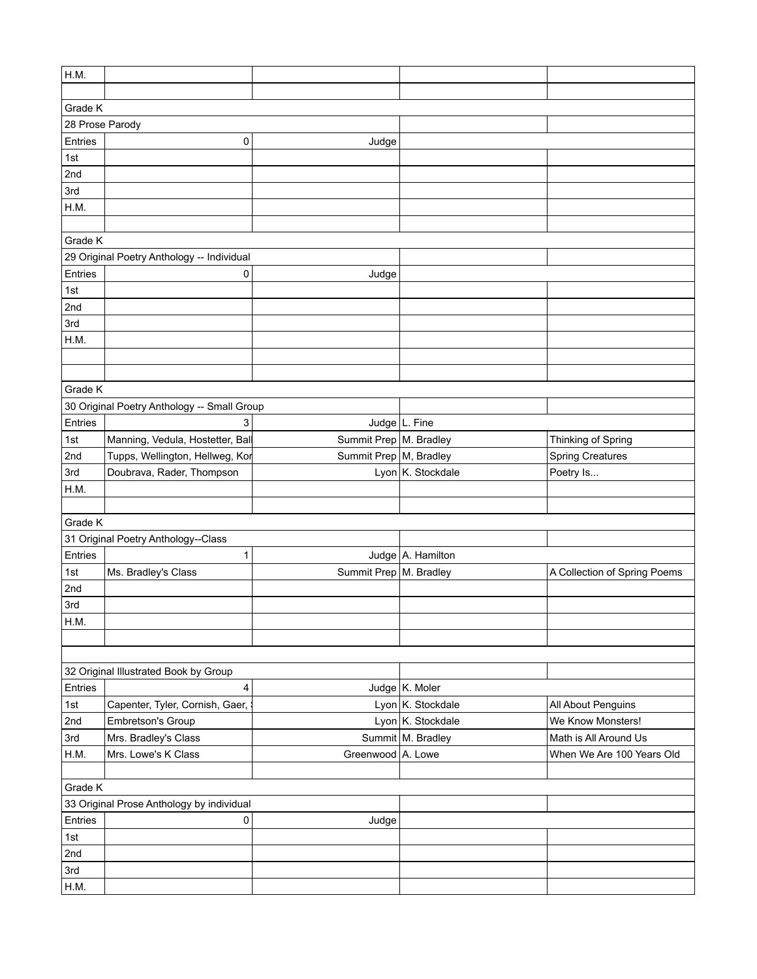| H.M.            |                                             |                          |                   |                                         |
|-----------------|---------------------------------------------|--------------------------|-------------------|-----------------------------------------|
|                 |                                             |                          |                   |                                         |
| Grade K         |                                             |                          |                   |                                         |
| 28 Prose Parody |                                             |                          |                   |                                         |
| Entries         | 0                                           | Judge                    |                   |                                         |
| 1st             |                                             |                          |                   |                                         |
| 2nd             |                                             |                          |                   |                                         |
| 3rd             |                                             |                          |                   |                                         |
| H.M.            |                                             |                          |                   |                                         |
|                 |                                             |                          |                   |                                         |
| Grade K         |                                             |                          |                   |                                         |
|                 | 29 Original Poetry Anthology -- Individual  |                          |                   |                                         |
| Entries         | 0                                           | Judge                    |                   |                                         |
| 1st             |                                             |                          |                   |                                         |
| 2nd             |                                             |                          |                   |                                         |
| 3rd             |                                             |                          |                   |                                         |
| H.M.            |                                             |                          |                   |                                         |
|                 |                                             |                          |                   |                                         |
|                 |                                             |                          |                   |                                         |
| Grade K         |                                             |                          |                   |                                         |
|                 | 30 Original Poetry Anthology -- Small Group |                          |                   |                                         |
| Entries         | 3                                           |                          | Judge L. Fine     |                                         |
| 1st             | Manning, Vedula, Hostetter, Bal             | Summit Prep   M. Bradley |                   | Thinking of Spring                      |
| 2nd             | Tupps, Wellington, Hellweg, Kor             | Summit Prep   M, Bradley |                   | <b>Spring Creatures</b>                 |
| 3rd             | Doubrava, Rader, Thompson                   |                          | Lyon K. Stockdale |                                         |
| H.M.            |                                             |                          |                   | Poetry Is                               |
|                 |                                             |                          |                   |                                         |
| Grade K         |                                             |                          |                   |                                         |
|                 | 31 Original Poetry Anthology--Class         |                          |                   |                                         |
| Entries         | 1                                           |                          | Judge A. Hamilton |                                         |
|                 |                                             | Summit Prep   M. Bradley |                   |                                         |
| 1st             | Ms. Bradley's Class                         |                          |                   | A Collection of Spring Poems            |
| 2nd             |                                             |                          |                   |                                         |
| 3rd             |                                             |                          |                   |                                         |
| H.M.            |                                             |                          |                   |                                         |
|                 |                                             |                          |                   |                                         |
|                 |                                             |                          |                   |                                         |
| Entries         | 32 Original Illustrated Book by Group       |                          |                   |                                         |
|                 | 4                                           |                          | Judge K. Moler    |                                         |
| 1st             | Capenter, Tyler, Cornish, Gaer,             |                          | Lyon K. Stockdale | All About Penguins<br>We Know Monsters! |
| 2nd             | Embretson's Group                           |                          | Lyon K. Stockdale |                                         |
| 3rd             | Mrs. Bradley's Class                        |                          | Summit M. Bradley | Math is All Around Us                   |
| H.M.            | Mrs. Lowe's K Class                         | Greenwood A. Lowe        |                   | When We Are 100 Years Old               |
|                 |                                             |                          |                   |                                         |
| Grade K         |                                             |                          |                   |                                         |
|                 | 33 Original Prose Anthology by individual   |                          |                   |                                         |
| Entries         | $\mathbf 0$                                 | Judge                    |                   |                                         |
| 1st             |                                             |                          |                   |                                         |
| 2nd<br>3rd      |                                             |                          |                   |                                         |
|                 |                                             |                          |                   |                                         |
| H.M.            |                                             |                          |                   |                                         |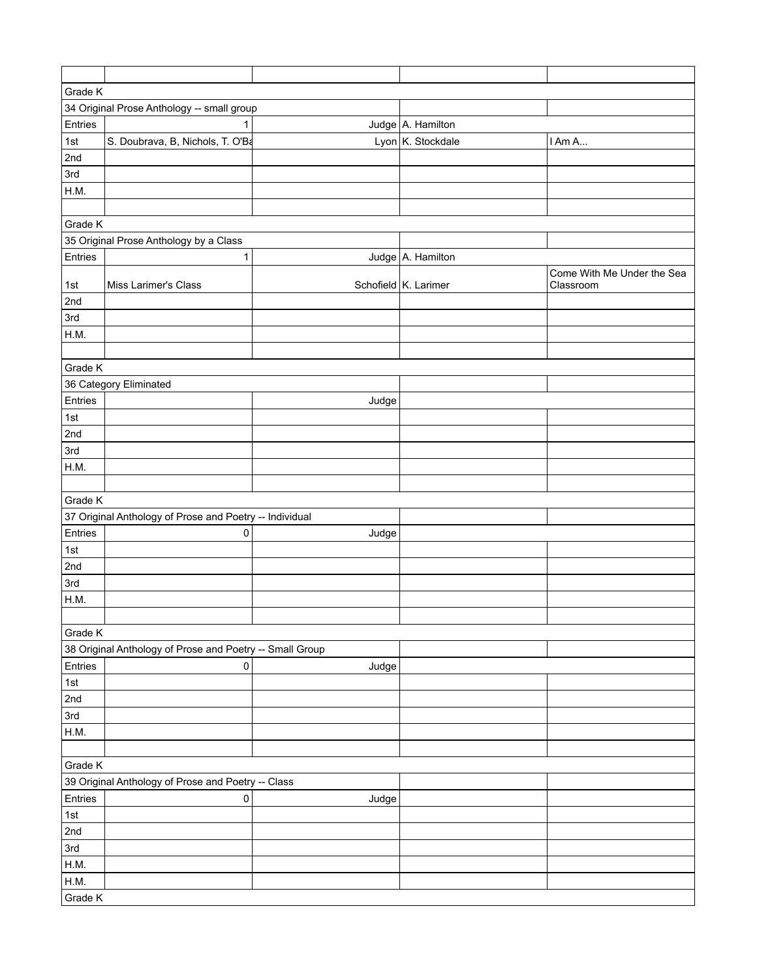| Grade K<br>34 Original Prose Anthology -- small group<br>Entries<br>Judge A. Hamilton<br>1<br>1st<br>S. Doubrava, B, Nichols, T. O'Ba<br>Lyon K. Stockdale<br>I Am A<br>2nd<br>3rd<br>H.M.<br>Grade K<br>35 Original Prose Anthology by a Class<br>Entries<br>Judge A. Hamilton<br>1<br>Come With Me Under the Sea<br>Schofield K. Larimer<br>1st<br>Miss Larimer's Class<br>Classroom<br>2nd<br>3rd<br>H.M.<br>Grade K<br>36 Category Eliminated<br>Entries<br>Judge<br>1st |
|------------------------------------------------------------------------------------------------------------------------------------------------------------------------------------------------------------------------------------------------------------------------------------------------------------------------------------------------------------------------------------------------------------------------------------------------------------------------------|
|                                                                                                                                                                                                                                                                                                                                                                                                                                                                              |
|                                                                                                                                                                                                                                                                                                                                                                                                                                                                              |
|                                                                                                                                                                                                                                                                                                                                                                                                                                                                              |
|                                                                                                                                                                                                                                                                                                                                                                                                                                                                              |
|                                                                                                                                                                                                                                                                                                                                                                                                                                                                              |
|                                                                                                                                                                                                                                                                                                                                                                                                                                                                              |
|                                                                                                                                                                                                                                                                                                                                                                                                                                                                              |
|                                                                                                                                                                                                                                                                                                                                                                                                                                                                              |
|                                                                                                                                                                                                                                                                                                                                                                                                                                                                              |
|                                                                                                                                                                                                                                                                                                                                                                                                                                                                              |
|                                                                                                                                                                                                                                                                                                                                                                                                                                                                              |
|                                                                                                                                                                                                                                                                                                                                                                                                                                                                              |
|                                                                                                                                                                                                                                                                                                                                                                                                                                                                              |
|                                                                                                                                                                                                                                                                                                                                                                                                                                                                              |
|                                                                                                                                                                                                                                                                                                                                                                                                                                                                              |
|                                                                                                                                                                                                                                                                                                                                                                                                                                                                              |
|                                                                                                                                                                                                                                                                                                                                                                                                                                                                              |
|                                                                                                                                                                                                                                                                                                                                                                                                                                                                              |
|                                                                                                                                                                                                                                                                                                                                                                                                                                                                              |
|                                                                                                                                                                                                                                                                                                                                                                                                                                                                              |
|                                                                                                                                                                                                                                                                                                                                                                                                                                                                              |
| 2nd                                                                                                                                                                                                                                                                                                                                                                                                                                                                          |
| 3rd                                                                                                                                                                                                                                                                                                                                                                                                                                                                          |
| H.M.                                                                                                                                                                                                                                                                                                                                                                                                                                                                         |
|                                                                                                                                                                                                                                                                                                                                                                                                                                                                              |
| Grade K                                                                                                                                                                                                                                                                                                                                                                                                                                                                      |
| 37 Original Anthology of Prose and Poetry -- Individual                                                                                                                                                                                                                                                                                                                                                                                                                      |
| Entries<br>0<br>Judge                                                                                                                                                                                                                                                                                                                                                                                                                                                        |
| 1st                                                                                                                                                                                                                                                                                                                                                                                                                                                                          |
| 2nd                                                                                                                                                                                                                                                                                                                                                                                                                                                                          |
| 3rd                                                                                                                                                                                                                                                                                                                                                                                                                                                                          |
| H.M.                                                                                                                                                                                                                                                                                                                                                                                                                                                                         |
|                                                                                                                                                                                                                                                                                                                                                                                                                                                                              |
| Grade K                                                                                                                                                                                                                                                                                                                                                                                                                                                                      |
| 38 Original Anthology of Prose and Poetry -- Small Group                                                                                                                                                                                                                                                                                                                                                                                                                     |
| Entries<br>0<br>Judge                                                                                                                                                                                                                                                                                                                                                                                                                                                        |
| 1st                                                                                                                                                                                                                                                                                                                                                                                                                                                                          |
| 2nd                                                                                                                                                                                                                                                                                                                                                                                                                                                                          |
| 3rd                                                                                                                                                                                                                                                                                                                                                                                                                                                                          |
| H.M.                                                                                                                                                                                                                                                                                                                                                                                                                                                                         |
|                                                                                                                                                                                                                                                                                                                                                                                                                                                                              |
| Grade K                                                                                                                                                                                                                                                                                                                                                                                                                                                                      |
| 39 Original Anthology of Prose and Poetry -- Class                                                                                                                                                                                                                                                                                                                                                                                                                           |
| Entries<br>$\pmb{0}$<br>Judge                                                                                                                                                                                                                                                                                                                                                                                                                                                |
| 1st                                                                                                                                                                                                                                                                                                                                                                                                                                                                          |
| 2nd                                                                                                                                                                                                                                                                                                                                                                                                                                                                          |
| 3rd                                                                                                                                                                                                                                                                                                                                                                                                                                                                          |
| H.M.                                                                                                                                                                                                                                                                                                                                                                                                                                                                         |
| H.M.                                                                                                                                                                                                                                                                                                                                                                                                                                                                         |
| Grade K                                                                                                                                                                                                                                                                                                                                                                                                                                                                      |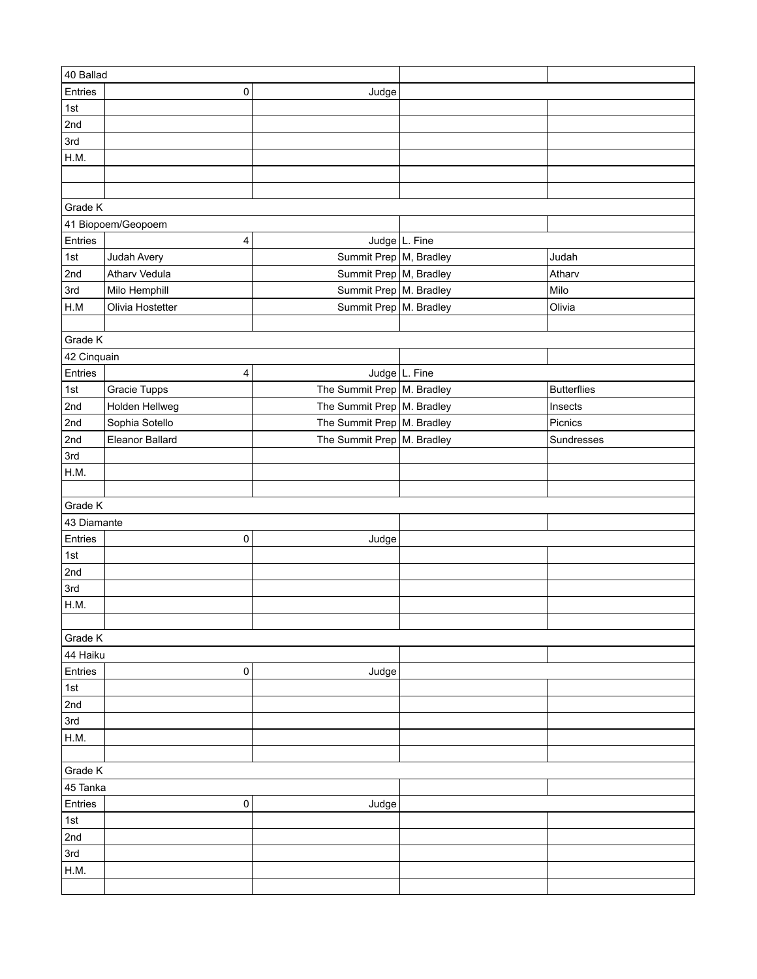| 40 Ballad               |                    |                              |               |                    |
|-------------------------|--------------------|------------------------------|---------------|--------------------|
| Entries                 | 0                  | Judge                        |               |                    |
| 1st                     |                    |                              |               |                    |
| 2nd                     |                    |                              |               |                    |
| 3rd                     |                    |                              |               |                    |
| H.M.                    |                    |                              |               |                    |
|                         |                    |                              |               |                    |
|                         |                    |                              |               |                    |
| Grade K                 |                    |                              |               |                    |
|                         | 41 Biopoem/Geopoem |                              |               |                    |
| Entries                 | 4                  |                              | Judge L. Fine |                    |
| 1st                     | Judah Avery        | Summit Prep   M, Bradley     |               | Judah              |
| 2nd                     | Atharv Vedula      | Summit Prep   M, Bradley     |               | Atharv             |
| 3rd                     | Milo Hemphill      | Summit Prep   M. Bradley     |               | Milo               |
| $\mathsf{H}.\mathsf{M}$ | Olivia Hostetter   | Summit Prep   M. Bradley     |               | Olivia             |
|                         |                    |                              |               |                    |
| Grade K                 |                    |                              |               |                    |
| 42 Cinquain             |                    |                              |               |                    |
| Entries                 | 4                  |                              | Judge L. Fine |                    |
| 1st                     | Gracie Tupps       | The Summit Prep   M. Bradley |               | <b>Butterflies</b> |
| 2nd                     | Holden Hellweg     | The Summit Prep   M. Bradley |               | Insects            |
| 2nd                     | Sophia Sotello     | The Summit Prep M. Bradley   |               | Picnics            |
| 2nd                     | Eleanor Ballard    | The Summit Prep   M. Bradley |               | Sundresses         |
| 3rd                     |                    |                              |               |                    |
|                         |                    |                              |               |                    |
| H.M.                    |                    |                              |               |                    |
|                         |                    |                              |               |                    |
| Grade K                 |                    |                              |               |                    |
| 43 Diamante             |                    |                              |               |                    |
| Entries                 | 0                  | Judge                        |               |                    |
| 1st                     |                    |                              |               |                    |
| 2nd                     |                    |                              |               |                    |
| 3rd                     |                    |                              |               |                    |
| H.M.                    |                    |                              |               |                    |
|                         |                    |                              |               |                    |
| Grade K                 |                    |                              |               |                    |
| 44 Haiku                |                    |                              |               |                    |
| Entries                 | 0                  | Judge                        |               |                    |
| 1st                     |                    |                              |               |                    |
| 2nd                     |                    |                              |               |                    |
| 3rd                     |                    |                              |               |                    |
| H.M.                    |                    |                              |               |                    |
|                         |                    |                              |               |                    |
| Grade K                 |                    |                              |               |                    |
| 45 Tanka                |                    |                              |               |                    |
| Entries                 | 0                  | Judge                        |               |                    |
| 1st                     |                    |                              |               |                    |
| 2nd                     |                    |                              |               |                    |
| 3rd                     |                    |                              |               |                    |
| H.M.                    |                    |                              |               |                    |
|                         |                    |                              |               |                    |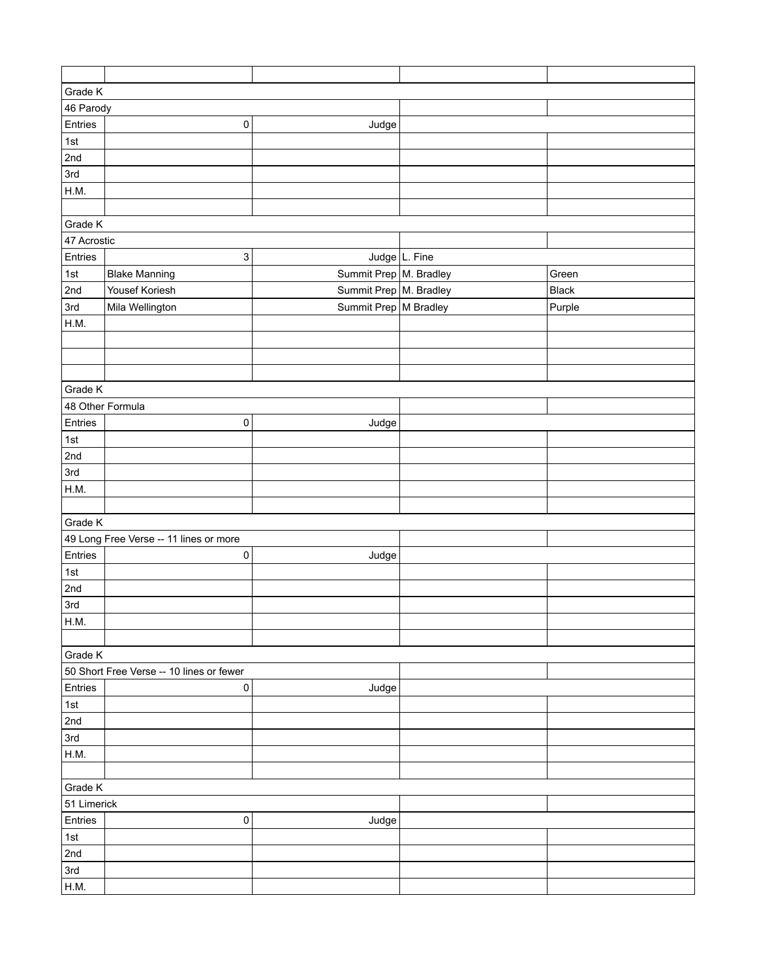| Grade K          |                                          |                          |               |        |  |
|------------------|------------------------------------------|--------------------------|---------------|--------|--|
| 46 Parody        |                                          |                          |               |        |  |
| Entries          | 0                                        | Judge                    |               |        |  |
| 1st              |                                          |                          |               |        |  |
| 2nd              |                                          |                          |               |        |  |
| 3rd              |                                          |                          |               |        |  |
| H.M.             |                                          |                          |               |        |  |
|                  |                                          |                          |               |        |  |
| Grade K          |                                          |                          |               |        |  |
| 47 Acrostic      |                                          |                          |               |        |  |
| Entries          | 3                                        |                          | Judge L. Fine |        |  |
| 1st              | <b>Blake Manning</b>                     | Summit Prep   M. Bradley |               | Green  |  |
| 2nd              | Yousef Koriesh                           | Summit Prep   M. Bradley |               | Black  |  |
| 3rd              | Mila Wellington                          | Summit Prep   M Bradley  |               | Purple |  |
| H.M.             |                                          |                          |               |        |  |
|                  |                                          |                          |               |        |  |
|                  |                                          |                          |               |        |  |
|                  |                                          |                          |               |        |  |
| Grade K          |                                          |                          |               |        |  |
| 48 Other Formula |                                          |                          |               |        |  |
| Entries          | 0                                        | Judge                    |               |        |  |
| 1st              |                                          |                          |               |        |  |
| 2nd              |                                          |                          |               |        |  |
| 3rd              |                                          |                          |               |        |  |
| H.M.             |                                          |                          |               |        |  |
|                  |                                          |                          |               |        |  |
| Grade K          |                                          |                          |               |        |  |
|                  | 49 Long Free Verse -- 11 lines or more   |                          |               |        |  |
| Entries          | 0                                        | Judge                    |               |        |  |
| 1st              |                                          |                          |               |        |  |
| 2nd              |                                          |                          |               |        |  |
| 3rd              |                                          |                          |               |        |  |
| H.M.             |                                          |                          |               |        |  |
|                  |                                          |                          |               |        |  |
| Grade K          |                                          |                          |               |        |  |
|                  | 50 Short Free Verse -- 10 lines or fewer |                          |               |        |  |
| Entries          | $\pmb{0}$                                | Judge                    |               |        |  |
| 1st              |                                          |                          |               |        |  |
| 2nd              |                                          |                          |               |        |  |
| 3rd              |                                          |                          |               |        |  |
| H.M.             |                                          |                          |               |        |  |
|                  |                                          |                          |               |        |  |
| Grade K          |                                          |                          |               |        |  |
| 51 Limerick      |                                          |                          |               |        |  |
|                  |                                          |                          |               |        |  |
| Entries          | $\pmb{0}$                                | Judge                    |               |        |  |
| 1st              |                                          |                          |               |        |  |
| 2nd              |                                          |                          |               |        |  |
| 3rd              |                                          |                          |               |        |  |
| H.M.             |                                          |                          |               |        |  |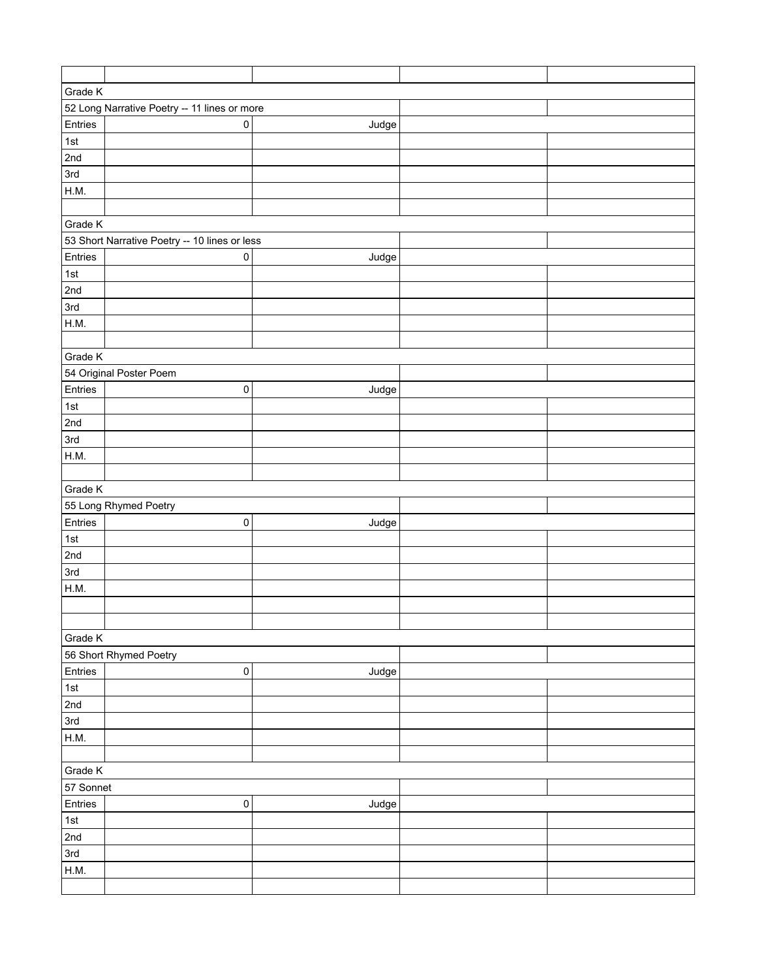| Grade K     |                                               |       |  |  |  |  |
|-------------|-----------------------------------------------|-------|--|--|--|--|
|             | 52 Long Narrative Poetry -- 11 lines or more  |       |  |  |  |  |
| Entries     | $\pmb{0}$                                     | Judge |  |  |  |  |
| 1st         |                                               |       |  |  |  |  |
| 2nd         |                                               |       |  |  |  |  |
| 3rd         |                                               |       |  |  |  |  |
| H.M.        |                                               |       |  |  |  |  |
|             |                                               |       |  |  |  |  |
| Grade K     |                                               |       |  |  |  |  |
|             | 53 Short Narrative Poetry -- 10 lines or less |       |  |  |  |  |
| Entries     | $\pmb{0}$                                     | Judge |  |  |  |  |
| 1st         |                                               |       |  |  |  |  |
| 2nd         |                                               |       |  |  |  |  |
| 3rd         |                                               |       |  |  |  |  |
| H.M.        |                                               |       |  |  |  |  |
|             |                                               |       |  |  |  |  |
| Grade K     |                                               |       |  |  |  |  |
|             | 54 Original Poster Poem                       |       |  |  |  |  |
| Entries     | $\pmb{0}$                                     | Judge |  |  |  |  |
| $\vert$ 1st |                                               |       |  |  |  |  |
| 2nd         |                                               |       |  |  |  |  |
| 3rd         |                                               |       |  |  |  |  |
| H.M.        |                                               |       |  |  |  |  |
|             |                                               |       |  |  |  |  |
| Grade K     |                                               |       |  |  |  |  |
|             | 55 Long Rhymed Poetry                         |       |  |  |  |  |
| Entries     | 0                                             | Judge |  |  |  |  |
| 1st         |                                               |       |  |  |  |  |
| 2nd         |                                               |       |  |  |  |  |
| 3rd         |                                               |       |  |  |  |  |
| H.M.        |                                               |       |  |  |  |  |
|             |                                               |       |  |  |  |  |
|             |                                               |       |  |  |  |  |
| Grade K     |                                               |       |  |  |  |  |
|             | 56 Short Rhymed Poetry                        |       |  |  |  |  |
| Entries     | $\mathsf{O}\xspace$                           | Judge |  |  |  |  |
| $\vert$ 1st |                                               |       |  |  |  |  |
| 2nd         |                                               |       |  |  |  |  |
| 3rd         |                                               |       |  |  |  |  |
| H.M.        |                                               |       |  |  |  |  |
|             |                                               |       |  |  |  |  |
| Grade K     |                                               |       |  |  |  |  |
| 57 Sonnet   |                                               |       |  |  |  |  |
| Entries     | $\pmb{0}$                                     | Judge |  |  |  |  |
| $\vert$ 1st |                                               |       |  |  |  |  |
| 2nd         |                                               |       |  |  |  |  |
| 3rd         |                                               |       |  |  |  |  |
| H.M.        |                                               |       |  |  |  |  |
|             |                                               |       |  |  |  |  |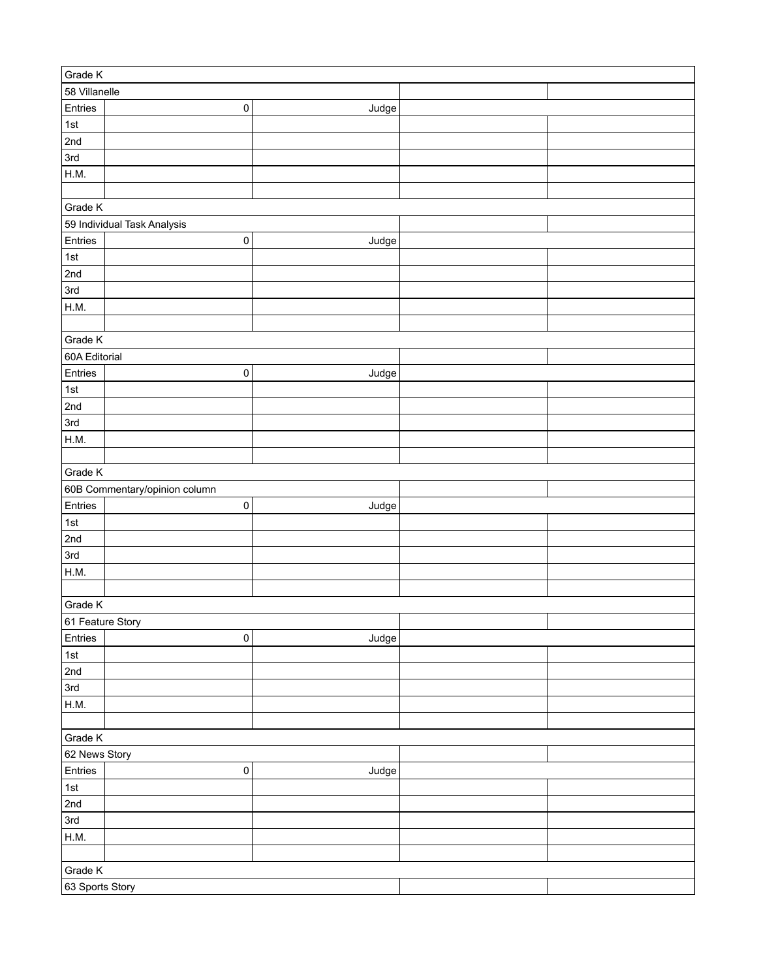| Grade K          |                               |       |  |
|------------------|-------------------------------|-------|--|
| 58 Villanelle    |                               |       |  |
| Entries          | 0                             | Judge |  |
| 1st              |                               |       |  |
| 2nd              |                               |       |  |
| 3rd              |                               |       |  |
| H.M.             |                               |       |  |
|                  |                               |       |  |
| Grade K          |                               |       |  |
|                  | 59 Individual Task Analysis   |       |  |
| Entries          | 0                             | Judge |  |
| $1st$            |                               |       |  |
| 2nd              |                               |       |  |
| 3rd              |                               |       |  |
| H.M.             |                               |       |  |
|                  |                               |       |  |
| Grade K          |                               |       |  |
| 60A Editorial    |                               |       |  |
| Entries          | $\pmb{0}$                     | Judge |  |
| 1st              |                               |       |  |
| 2nd              |                               |       |  |
| 3rd              |                               |       |  |
| H.M.             |                               |       |  |
|                  |                               |       |  |
| Grade K          |                               |       |  |
|                  | 60B Commentary/opinion column |       |  |
| Entries          |                               |       |  |
|                  | 0                             | Judge |  |
| 1st              |                               |       |  |
| 2nd              |                               |       |  |
| 3rd              |                               |       |  |
| H.M.             |                               |       |  |
|                  |                               |       |  |
| Grade K          |                               |       |  |
| 61 Feature Story |                               |       |  |
| Entries          | $\pmb{0}$                     | Judge |  |
| 1st              |                               |       |  |
| 2nd              |                               |       |  |
| 3rd              |                               |       |  |
| H.M.             |                               |       |  |
|                  |                               |       |  |
| Grade K          |                               |       |  |
| 62 News Story    |                               |       |  |
| Entries          | $\pmb{0}$                     | Judge |  |
| $1st$            |                               |       |  |
| 2nd              |                               |       |  |
| 3rd              |                               |       |  |
| H.M.             |                               |       |  |
|                  |                               |       |  |
| Grade K          |                               |       |  |
| 63 Sports Story  |                               |       |  |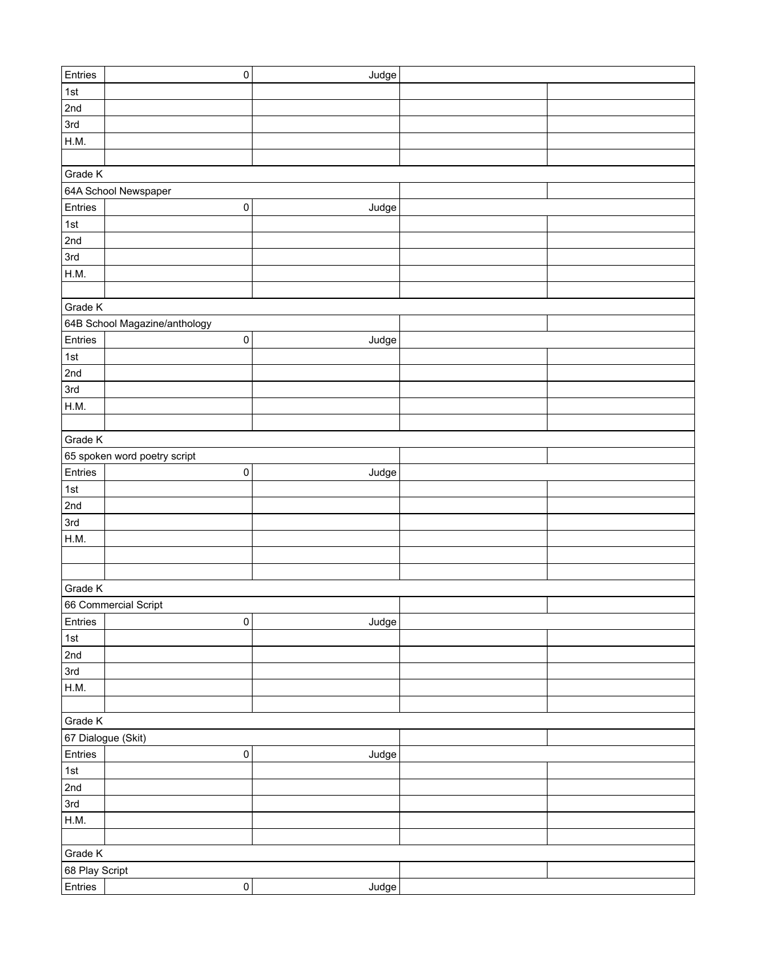| Entries        | $\pmb{0}$                     | Judge |  |
|----------------|-------------------------------|-------|--|
| 1st            |                               |       |  |
| 2nd            |                               |       |  |
| 3rd            |                               |       |  |
| H.M.           |                               |       |  |
|                |                               |       |  |
| Grade K        |                               |       |  |
|                | 64A School Newspaper          |       |  |
| Entries        | 0                             | Judge |  |
| 1st            |                               |       |  |
| 2nd            |                               |       |  |
| 3rd            |                               |       |  |
| H.M.           |                               |       |  |
|                |                               |       |  |
| Grade K        |                               |       |  |
|                |                               |       |  |
|                | 64B School Magazine/anthology |       |  |
| Entries        | 0                             | Judge |  |
| 1st            |                               |       |  |
| 2nd            |                               |       |  |
| 3rd            |                               |       |  |
| H.M.           |                               |       |  |
|                |                               |       |  |
| Grade K        |                               |       |  |
|                | 65 spoken word poetry script  |       |  |
| Entries        | $\pmb{0}$                     | Judge |  |
| $1st$          |                               |       |  |
| 2nd            |                               |       |  |
| 3rd            |                               |       |  |
| H.M.           |                               |       |  |
|                |                               |       |  |
|                |                               |       |  |
| Grade K        |                               |       |  |
|                | 66 Commercial Script          |       |  |
| Entries        | 0                             | Judge |  |
| 1st            |                               |       |  |
| 2nd            |                               |       |  |
| 3rd            |                               |       |  |
| H.M.           |                               |       |  |
|                |                               |       |  |
|                |                               |       |  |
| Grade K        |                               |       |  |
|                | 67 Dialogue (Skit)            |       |  |
| Entries        | $\pmb{0}$                     | Judge |  |
| $1st$          |                               |       |  |
| 2nd            |                               |       |  |
| 3rd            |                               |       |  |
| H.M.           |                               |       |  |
|                |                               |       |  |
| Grade K        |                               |       |  |
| 68 Play Script |                               |       |  |
| Entries        | $\pmb{0}$                     | Judge |  |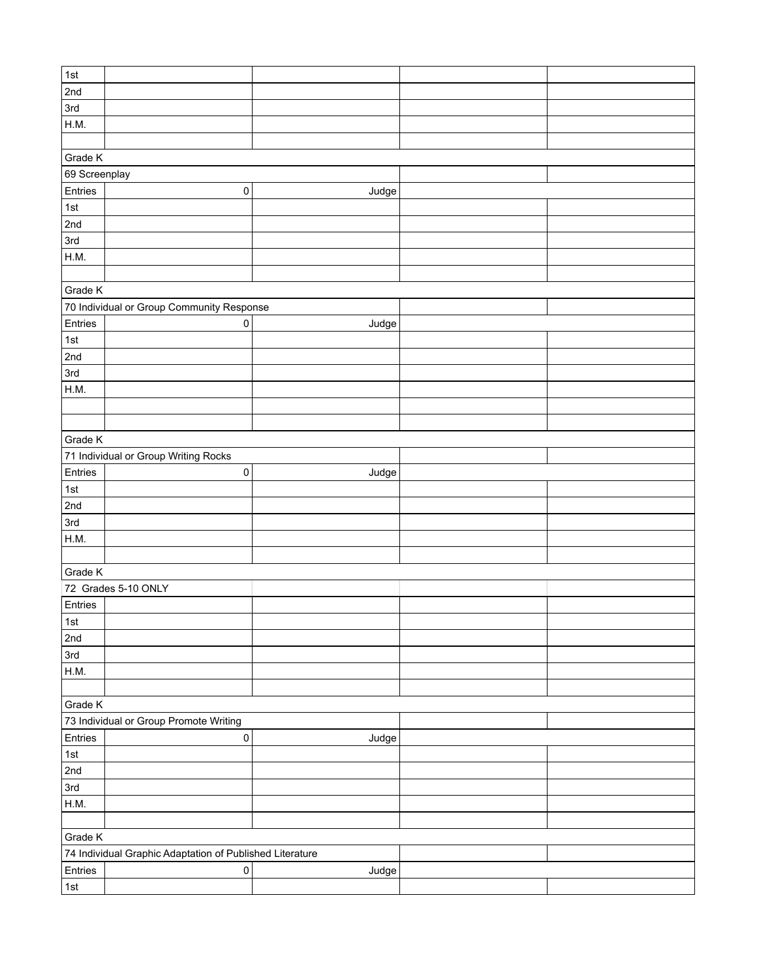| 1st           |                                                          |       |  |
|---------------|----------------------------------------------------------|-------|--|
| 2nd           |                                                          |       |  |
| 3rd           |                                                          |       |  |
| H.M.          |                                                          |       |  |
|               |                                                          |       |  |
| Grade K       |                                                          |       |  |
| 69 Screenplay |                                                          |       |  |
| Entries       | $\pmb{0}$                                                | Judge |  |
| $\vert$ 1st   |                                                          |       |  |
| 2nd           |                                                          |       |  |
| 3rd           |                                                          |       |  |
| H.M.          |                                                          |       |  |
|               |                                                          |       |  |
| Grade K       |                                                          |       |  |
|               | 70 Individual or Group Community Response                |       |  |
| Entries       | 0                                                        | Judge |  |
| 1st           |                                                          |       |  |
| 2nd           |                                                          |       |  |
| 3rd           |                                                          |       |  |
| H.M.          |                                                          |       |  |
|               |                                                          |       |  |
|               |                                                          |       |  |
| Grade K       |                                                          |       |  |
|               | 71 Individual or Group Writing Rocks                     |       |  |
| Entries       | $\pmb{0}$                                                | Judge |  |
| $\vert$ 1st   |                                                          |       |  |
| 2nd           |                                                          |       |  |
| 3rd           |                                                          |       |  |
| H.M.          |                                                          |       |  |
|               |                                                          |       |  |
| Grade K       |                                                          |       |  |
|               | 72 Grades 5-10 ONLY                                      |       |  |
| Entries       |                                                          |       |  |
| ∣1st          |                                                          |       |  |
| 2nd           |                                                          |       |  |
| 3rd           |                                                          |       |  |
| H.M.          |                                                          |       |  |
|               |                                                          |       |  |
| Grade K       |                                                          |       |  |
|               | 73 Individual or Group Promote Writing                   |       |  |
| Entries       | $\pmb{0}$                                                | Judge |  |
| $\vert$ 1st   |                                                          |       |  |
| 2nd           |                                                          |       |  |
| 3rd           |                                                          |       |  |
| H.M.          |                                                          |       |  |
|               |                                                          |       |  |
| Grade K       |                                                          |       |  |
|               | 74 Individual Graphic Adaptation of Published Literature |       |  |
| Entries       | $\pmb{0}$                                                | Judge |  |
| $\vert$ 1st   |                                                          |       |  |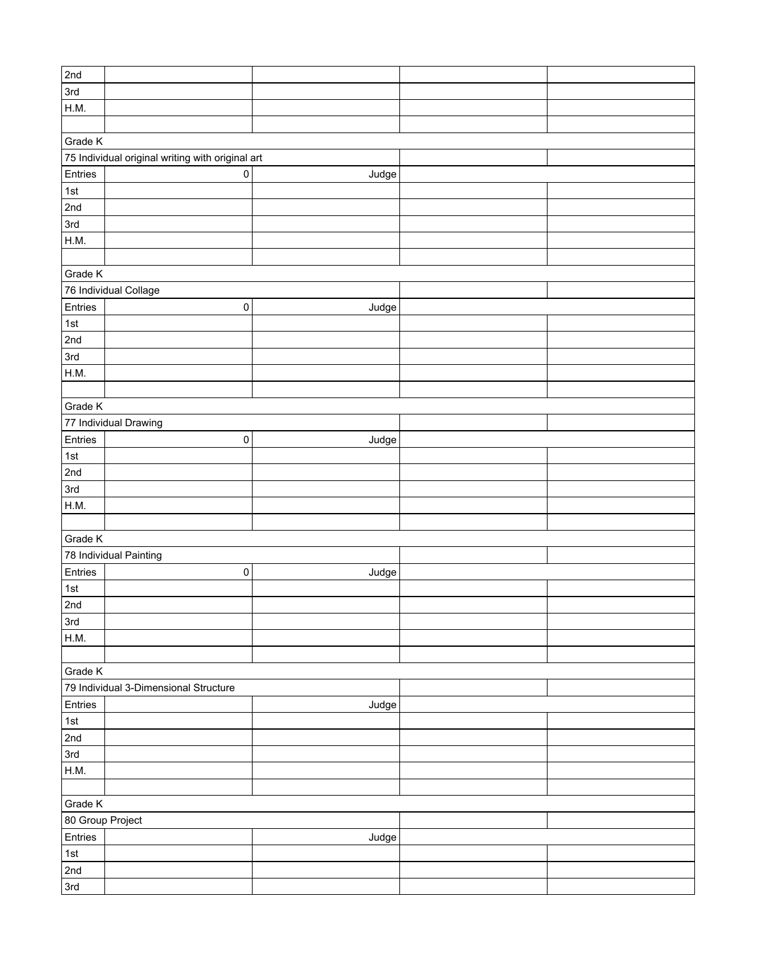| 2nd              |                                                  |       |  |
|------------------|--------------------------------------------------|-------|--|
| 3rd              |                                                  |       |  |
| H.M.             |                                                  |       |  |
|                  |                                                  |       |  |
|                  |                                                  |       |  |
| Grade K          |                                                  |       |  |
|                  | 75 Individual original writing with original art |       |  |
| Entries          | $\mathbf 0$                                      | Judge |  |
| 1st              |                                                  |       |  |
| 2nd              |                                                  |       |  |
| 3rd              |                                                  |       |  |
| H.M.             |                                                  |       |  |
|                  |                                                  |       |  |
| Grade K          |                                                  |       |  |
|                  | 76 Individual Collage                            |       |  |
| Entries          | $\pmb{0}$                                        | Judge |  |
|                  |                                                  |       |  |
| 1st              |                                                  |       |  |
| 2nd              |                                                  |       |  |
| 3rd              |                                                  |       |  |
| H.M.             |                                                  |       |  |
|                  |                                                  |       |  |
| Grade K          |                                                  |       |  |
|                  | 77 Individual Drawing                            |       |  |
| Entries          | $\pmb{0}$                                        | Judge |  |
| 1st              |                                                  |       |  |
| 2nd              |                                                  |       |  |
| 3rd              |                                                  |       |  |
| H.M.             |                                                  |       |  |
|                  |                                                  |       |  |
| Grade K          |                                                  |       |  |
|                  | 78 Individual Painting                           |       |  |
| Entries          | $\pmb{0}$                                        | Judge |  |
| 1st              |                                                  |       |  |
|                  |                                                  |       |  |
| 2nd              |                                                  |       |  |
| 3rd              |                                                  |       |  |
| H.M.             |                                                  |       |  |
|                  |                                                  |       |  |
| Grade K          |                                                  |       |  |
|                  | 79 Individual 3-Dimensional Structure            |       |  |
| Entries          |                                                  | Judge |  |
| 1st              |                                                  |       |  |
| 2nd              |                                                  |       |  |
| 3rd              |                                                  |       |  |
| H.M.             |                                                  |       |  |
|                  |                                                  |       |  |
| Grade K          |                                                  |       |  |
| 80 Group Project |                                                  |       |  |
| Entries          |                                                  |       |  |
|                  |                                                  | Judge |  |
| 1st              |                                                  |       |  |
| 2nd              |                                                  |       |  |
| 3rd              |                                                  |       |  |